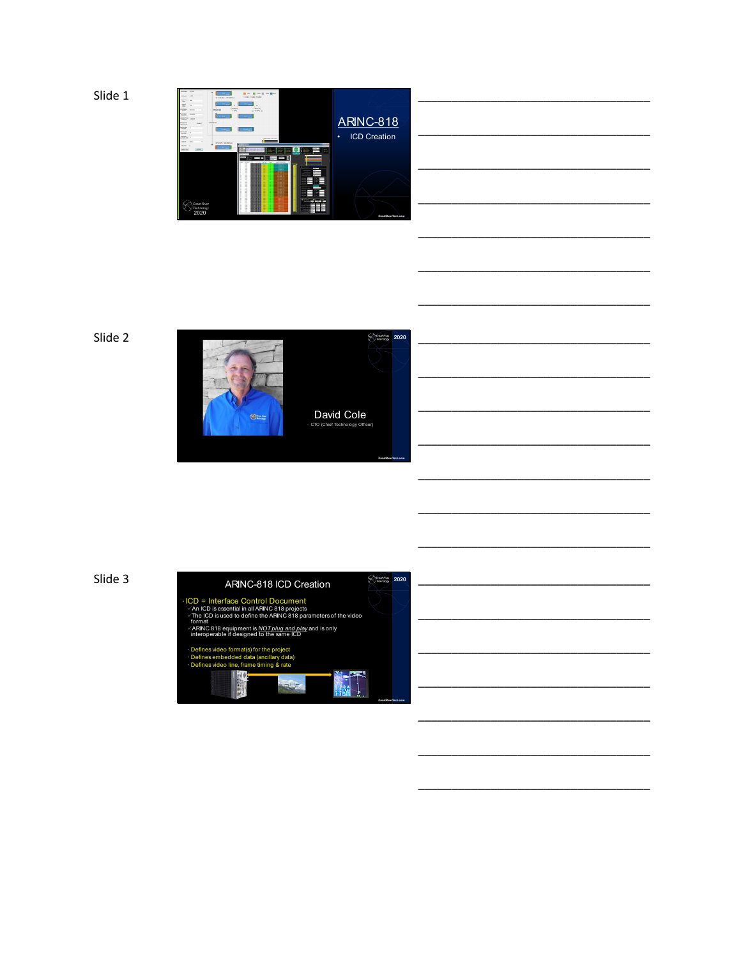





\_\_\_\_\_\_\_\_\_\_\_\_\_\_\_\_\_\_\_\_\_\_\_\_\_\_\_\_\_\_\_\_\_\_\_

\_\_\_\_\_\_\_\_\_\_\_\_\_\_\_\_\_\_\_\_\_\_\_\_\_\_\_\_\_\_\_\_\_\_\_

\_\_\_\_\_\_\_\_\_\_\_\_\_\_\_\_\_\_\_\_\_\_\_\_\_\_\_\_\_\_\_\_\_\_\_

\_\_\_\_\_\_\_\_\_\_\_\_\_\_\_\_\_\_\_\_\_\_\_\_\_\_\_\_\_\_\_\_\_\_\_

\_\_\_\_\_\_\_\_\_\_\_\_\_\_\_\_\_\_\_\_\_\_\_\_\_\_\_\_\_\_\_\_\_\_\_

\_\_\_\_\_\_\_\_\_\_\_\_\_\_\_\_\_\_\_\_\_\_\_\_\_\_\_\_\_\_\_\_\_\_\_

\_\_\_\_\_\_\_\_\_\_\_\_\_\_\_\_\_\_\_\_\_\_\_\_\_\_\_\_\_\_\_\_\_\_\_

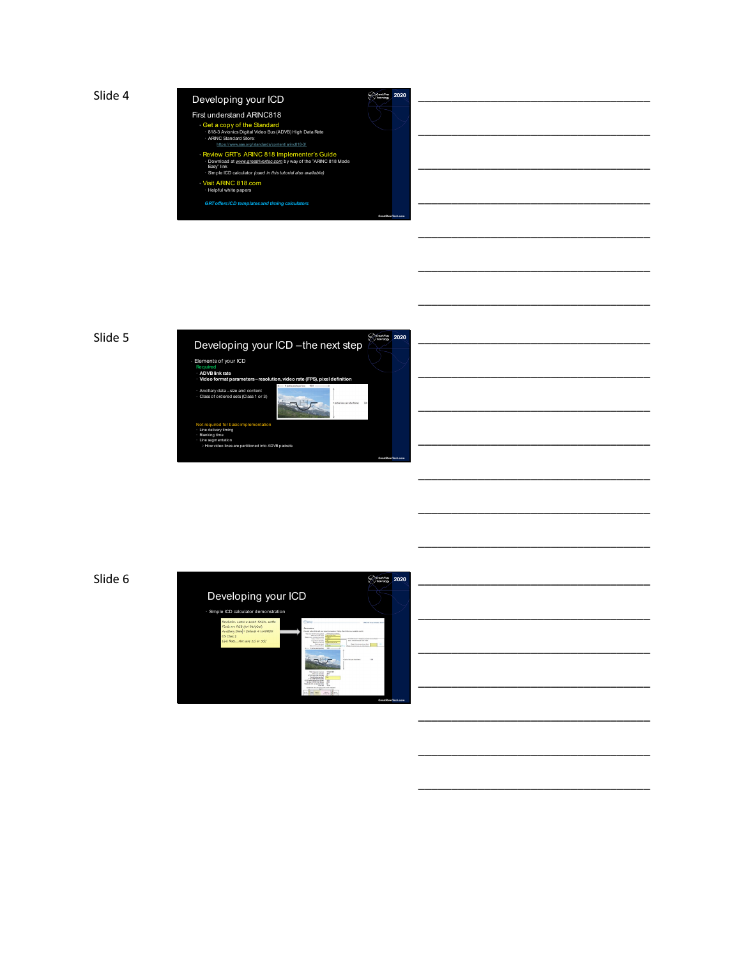





\_\_\_\_\_\_\_\_\_\_\_\_\_\_\_\_\_\_\_\_\_\_\_\_\_\_\_\_\_\_\_\_\_\_\_

\_\_\_\_\_\_\_\_\_\_\_\_\_\_\_\_\_\_\_\_\_\_\_\_\_\_\_\_\_\_\_\_\_\_\_

\_\_\_\_\_\_\_\_\_\_\_\_\_\_\_\_\_\_\_\_\_\_\_\_\_\_\_\_\_\_\_\_\_\_\_

\_\_\_\_\_\_\_\_\_\_\_\_\_\_\_\_\_\_\_\_\_\_\_\_\_\_\_\_\_\_\_\_\_\_\_

\_\_\_\_\_\_\_\_\_\_\_\_\_\_\_\_\_\_\_\_\_\_\_\_\_\_\_\_\_\_\_\_\_\_\_